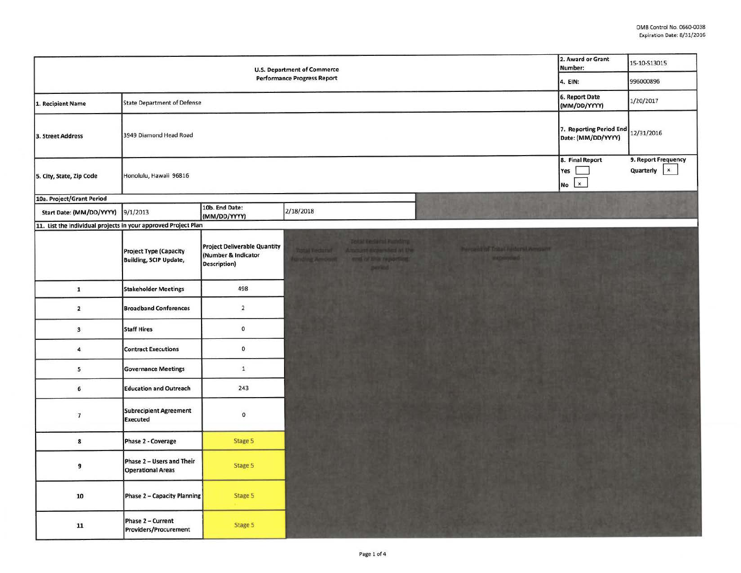| U.S. Department of Commerce                                    |                                                         |                                                                            |                                                  |                                                                                                | 2. Award or Grant                                 |                                                                                                                                                                                                                                                     |  |
|----------------------------------------------------------------|---------------------------------------------------------|----------------------------------------------------------------------------|--------------------------------------------------|------------------------------------------------------------------------------------------------|---------------------------------------------------|-----------------------------------------------------------------------------------------------------------------------------------------------------------------------------------------------------------------------------------------------------|--|
|                                                                | <b>Performance Progress Report</b>                      |                                                                            |                                                  |                                                                                                |                                                   | 15-10-513015<br>Number:<br>4. EIN:<br>996000896<br>6. Report Date<br>1/20/2017<br>(MM/DD/YYYY)<br>7. Reporting Period End<br>12/31/2016<br>Date: (MM/DD/YYYY)<br>8. Final Report<br>9. Report Frequency<br>Quarterly $\vert x \vert$<br>Yes<br>No X |  |
| 1. Recipient Name                                              | <b>State Department of Defense</b>                      |                                                                            |                                                  |                                                                                                |                                                   |                                                                                                                                                                                                                                                     |  |
| 3. Street Address                                              | 3949 Diamond Head Road                                  |                                                                            |                                                  |                                                                                                |                                                   |                                                                                                                                                                                                                                                     |  |
| 5. City, State, Zip Code                                       | Honolulu, Hawaii 96816                                  |                                                                            |                                                  |                                                                                                |                                                   |                                                                                                                                                                                                                                                     |  |
| 10a. Project/Grant Period                                      |                                                         |                                                                            |                                                  |                                                                                                |                                                   |                                                                                                                                                                                                                                                     |  |
| Start Date: (MM/DD/YYYY)                                       | 9/1/2013                                                | 10b. End Date:<br>(MM/DD/YYYY)                                             | 2/18/2018                                        |                                                                                                |                                                   |                                                                                                                                                                                                                                                     |  |
| 11. List the individual projects in your approved Project Plan |                                                         |                                                                            |                                                  |                                                                                                |                                                   |                                                                                                                                                                                                                                                     |  |
|                                                                | <b>Project Type (Capacity</b><br>Building, SCIP Update, | <b>Project Deliverable Quantity</b><br>(Number & Indicator<br>Description) | <b>Total Textures</b><br><b>Exampling Amount</b> | <b>Total Cederal Pureling</b><br>Ammunt expended in the<br>I and of this reporting."<br>period | Percant of Trital Federal Amount<br><b>ROWING</b> |                                                                                                                                                                                                                                                     |  |
| $\mathbf{1}$                                                   | <b>Stakeholder Meetings</b>                             | 498                                                                        |                                                  |                                                                                                |                                                   |                                                                                                                                                                                                                                                     |  |
| $\overline{\mathbf{2}}$                                        | <b>Broadband Conferences</b>                            | $\overline{2}$                                                             |                                                  |                                                                                                |                                                   |                                                                                                                                                                                                                                                     |  |
| $\overline{\mathbf{3}}$                                        | <b>Staff Hires</b>                                      | $\mathbf 0$                                                                |                                                  |                                                                                                |                                                   |                                                                                                                                                                                                                                                     |  |
| $\bf 4$                                                        | <b>Contract Executions</b>                              | $\mathsf{o}$                                                               |                                                  |                                                                                                |                                                   |                                                                                                                                                                                                                                                     |  |
| 5                                                              | <b>Governance Meetings</b>                              | $\mathbf 1$                                                                |                                                  |                                                                                                |                                                   |                                                                                                                                                                                                                                                     |  |
| 6                                                              | <b>Education and Outreach</b>                           | 243                                                                        |                                                  |                                                                                                |                                                   |                                                                                                                                                                                                                                                     |  |
| $\overline{\phantom{a}}$                                       | <b>Subrecipient Agreement</b><br><b>Executed</b>        | $\mathbf 0$                                                                |                                                  |                                                                                                |                                                   |                                                                                                                                                                                                                                                     |  |
| 8                                                              | Phase 2 - Coverage                                      | Stage 5                                                                    |                                                  |                                                                                                |                                                   |                                                                                                                                                                                                                                                     |  |
| 9                                                              | Phase 2 - Users and Their<br><b>Operational Areas</b>   | Stage 5                                                                    |                                                  |                                                                                                |                                                   |                                                                                                                                                                                                                                                     |  |
| 10                                                             | <b>Phase 2 - Capacity Planning</b>                      | Stage 5                                                                    |                                                  |                                                                                                |                                                   |                                                                                                                                                                                                                                                     |  |
| 11                                                             | Phase 2 - Current<br>Providers/Procurement              | Stage 5                                                                    |                                                  |                                                                                                |                                                   |                                                                                                                                                                                                                                                     |  |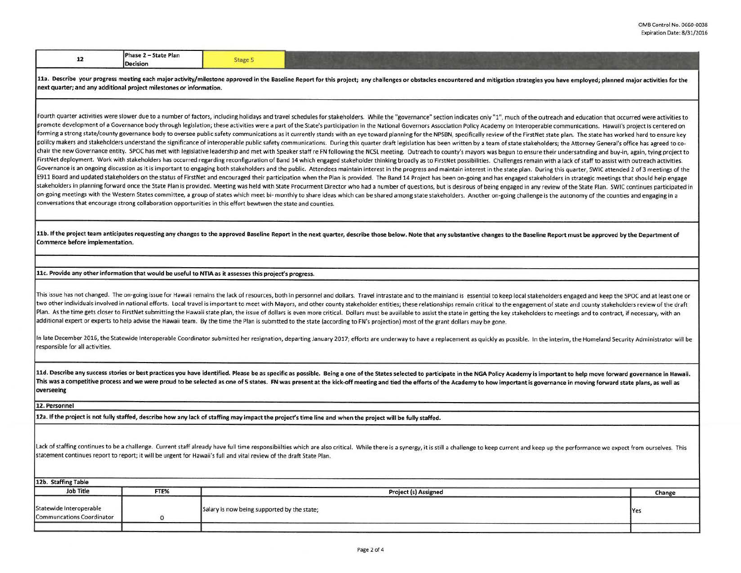| 12                                                                  | Phase 2 - State Plan<br><b>Decision</b> | Stage 5                                                                                                             |                                                                                                                                                                                                                                                                                                                                                                                                                                                                                                                                                                                                                                                                                                                                                                                                                                                                                                                                                                                                                                                                                                                                                                                                                                                                                                                                                                                                                                                                                                                                                                                                                                                                                                                                                                                                                                                                                                                                                                                                                                                                                                                                                                                                                                                                                                                                                 |        |
|---------------------------------------------------------------------|-----------------------------------------|---------------------------------------------------------------------------------------------------------------------|-------------------------------------------------------------------------------------------------------------------------------------------------------------------------------------------------------------------------------------------------------------------------------------------------------------------------------------------------------------------------------------------------------------------------------------------------------------------------------------------------------------------------------------------------------------------------------------------------------------------------------------------------------------------------------------------------------------------------------------------------------------------------------------------------------------------------------------------------------------------------------------------------------------------------------------------------------------------------------------------------------------------------------------------------------------------------------------------------------------------------------------------------------------------------------------------------------------------------------------------------------------------------------------------------------------------------------------------------------------------------------------------------------------------------------------------------------------------------------------------------------------------------------------------------------------------------------------------------------------------------------------------------------------------------------------------------------------------------------------------------------------------------------------------------------------------------------------------------------------------------------------------------------------------------------------------------------------------------------------------------------------------------------------------------------------------------------------------------------------------------------------------------------------------------------------------------------------------------------------------------------------------------------------------------------------------------------------------------|--------|
| next quarter; and any additional project milestones or information. |                                         |                                                                                                                     | 11a. Describe your progress meeting each major activity/milestone approved in the Baseline Report for this project; any challenges or obstacles encountered and mitigation strategies you have employed; planned major activit                                                                                                                                                                                                                                                                                                                                                                                                                                                                                                                                                                                                                                                                                                                                                                                                                                                                                                                                                                                                                                                                                                                                                                                                                                                                                                                                                                                                                                                                                                                                                                                                                                                                                                                                                                                                                                                                                                                                                                                                                                                                                                                  |        |
|                                                                     |                                         | conversations that encourage strong collaboration opportunities in this effort bewtwen the state and counties.      | Fourth quarter activities were slower due to a number of factors, including holidays and travel schedules for stakeholders. While the "governance" section indicates only "1", much of the outreach and education that occurre<br>promote development of a Governance body through legislation; these activities were a part of the State's participation in the National Governors Association Policy Academy on Interoperable communications. Hawaii's project<br>forming a strong state/county governance body to oversee public safety communications as it currently stands with an eye toward planning for the NPSBN, specifically review of the FirstNet state plan. The state has worked h<br>polilcy makers and stakeholders understand the significance of interoperable public safety communications. During this quarter draft legislation has been written by a team of state stakeholders; the Attorney General's offi<br>chair the new Governance entity. SPOC has met with legislative leadership and met with Speaker staff re FN following the NCSL meeting. Outreach to county's mayors was begun to ensure their undersatnding and buy-in, again,<br>FirstNet deployment. Work with stakeholders has occurred regarding reconfiguration of Band 14 which engaged stakeholder thinking broadly as to FirstNet possibilities. Challenges remain with a lack of staff to assist with o<br>Governance is an ongoing discussion as it is important to engaging both stakeholders and the public. Attendees maintain interest in the progress and maintain interest in the state plan. During this quarter, SWIC attended 2<br>E911 Board and updated stakeholders on the status of FirstNet and encouraged their participation when the Plan is provided. The Band 14 Project has been on-going and has engaged stakeholders in strategic meetings that shou<br>stakeholders in planning forward once the State Plan is provided. Meeting was held with State Procurment Director who had a number of questions, but is desirous of being engaged in any review of the State Plan. SWIC contin<br>on-going meetings with the Western States committee, a group of states which meet bi-monthly to share ideas which can be shared among state stakeholders. Another on-going challenge is the autonomy of the counties and engag |        |
| Commerce before implementation.                                     |                                         |                                                                                                                     | 11b. If the project team anticipates requesting any changes to the approved Baseline Report in the next quarter, describe those below. Note that any substantive changes to the Baseline Report must be approved by the Depart                                                                                                                                                                                                                                                                                                                                                                                                                                                                                                                                                                                                                                                                                                                                                                                                                                                                                                                                                                                                                                                                                                                                                                                                                                                                                                                                                                                                                                                                                                                                                                                                                                                                                                                                                                                                                                                                                                                                                                                                                                                                                                                  |        |
|                                                                     |                                         | 11c. Provide any other information that would be useful to NTIA as it assesses this project's progress.             |                                                                                                                                                                                                                                                                                                                                                                                                                                                                                                                                                                                                                                                                                                                                                                                                                                                                                                                                                                                                                                                                                                                                                                                                                                                                                                                                                                                                                                                                                                                                                                                                                                                                                                                                                                                                                                                                                                                                                                                                                                                                                                                                                                                                                                                                                                                                                 |        |
| responsible for all activities.                                     |                                         |                                                                                                                     | This issue has not changed. The on-going issue for Hawaii remains the lack of resources, both in personnel and dollars. Travel intrastate and to the mainland is essential to keep local stakeholders engaged and keep the SPO<br>two other individuals involved in national efforts. Local travel is important to meet with Mayors, and other county stakeholder entities; these relationships remain critical to the engagement of state and county stakeholde<br>Plan. As the time gets closer to FirstNet submitting the Hawaii state plan, the issue of dollars is even more critical. Dollars must be available to assist the state in getting the key stakeholders to meetings and to contr<br>additional expert or experts to help advise the Hawaii team. By the time the Plan is submtted to the state (according to FN's projection) most of the grant dollars may be gone.<br>In late December 2016, the Statewide Interoperable Coordinator submitted her resignation, departing January 2017; efforts are underway to have a replacement as quickly as possible. In the interim, the Homeland Security Adm                                                                                                                                                                                                                                                                                                                                                                                                                                                                                                                                                                                                                                                                                                                                                                                                                                                                                                                                                                                                                                                                                                                                                                                                                        |        |
| overseeing                                                          |                                         |                                                                                                                     | 11d. Describe any success stories or best practices you have identified. Please be as specific as possible. Being a one of the States selected to participate in the NGA Policy Academy is important to help move forward gove<br>This was a competitive process and we were proud to be selected as one of 5 states. FN was present at the kick-off meeting and tied the efforts of the Academy to how important is governance in moving forward state plans, a                                                                                                                                                                                                                                                                                                                                                                                                                                                                                                                                                                                                                                                                                                                                                                                                                                                                                                                                                                                                                                                                                                                                                                                                                                                                                                                                                                                                                                                                                                                                                                                                                                                                                                                                                                                                                                                                                |        |
| 12. Personnel                                                       |                                         |                                                                                                                     |                                                                                                                                                                                                                                                                                                                                                                                                                                                                                                                                                                                                                                                                                                                                                                                                                                                                                                                                                                                                                                                                                                                                                                                                                                                                                                                                                                                                                                                                                                                                                                                                                                                                                                                                                                                                                                                                                                                                                                                                                                                                                                                                                                                                                                                                                                                                                 |        |
|                                                                     |                                         |                                                                                                                     | 12a. If the project is not fully staffed, describe how any lack of staffing may impact the project's time line and when the project will be fully staffed.                                                                                                                                                                                                                                                                                                                                                                                                                                                                                                                                                                                                                                                                                                                                                                                                                                                                                                                                                                                                                                                                                                                                                                                                                                                                                                                                                                                                                                                                                                                                                                                                                                                                                                                                                                                                                                                                                                                                                                                                                                                                                                                                                                                      |        |
| 12b. Staffing Table                                                 |                                         | statement continues report to report; it will be urgent for Hawaii's full and vital review of the draft State Plan. | Lack of staffing continues to be a challenge. Current staff already have full time responsibiilties which are also critical. While there is a synergy, it is still a challenge to keep current and keep up the performance we                                                                                                                                                                                                                                                                                                                                                                                                                                                                                                                                                                                                                                                                                                                                                                                                                                                                                                                                                                                                                                                                                                                                                                                                                                                                                                                                                                                                                                                                                                                                                                                                                                                                                                                                                                                                                                                                                                                                                                                                                                                                                                                   |        |
| <b>Job Title</b>                                                    | FTE%                                    |                                                                                                                     | <b>Project (s) Assigned</b>                                                                                                                                                                                                                                                                                                                                                                                                                                                                                                                                                                                                                                                                                                                                                                                                                                                                                                                                                                                                                                                                                                                                                                                                                                                                                                                                                                                                                                                                                                                                                                                                                                                                                                                                                                                                                                                                                                                                                                                                                                                                                                                                                                                                                                                                                                                     | Change |
| Statewide Interoperable<br><b>Communcations Coordinator</b>         | $\mathbf 0$                             | Salary is now being supported by the state;                                                                         |                                                                                                                                                                                                                                                                                                                                                                                                                                                                                                                                                                                                                                                                                                                                                                                                                                                                                                                                                                                                                                                                                                                                                                                                                                                                                                                                                                                                                                                                                                                                                                                                                                                                                                                                                                                                                                                                                                                                                                                                                                                                                                                                                                                                                                                                                                                                                 | Yes    |
|                                                                     |                                         |                                                                                                                     |                                                                                                                                                                                                                                                                                                                                                                                                                                                                                                                                                                                                                                                                                                                                                                                                                                                                                                                                                                                                                                                                                                                                                                                                                                                                                                                                                                                                                                                                                                                                                                                                                                                                                                                                                                                                                                                                                                                                                                                                                                                                                                                                                                                                                                                                                                                                                 |        |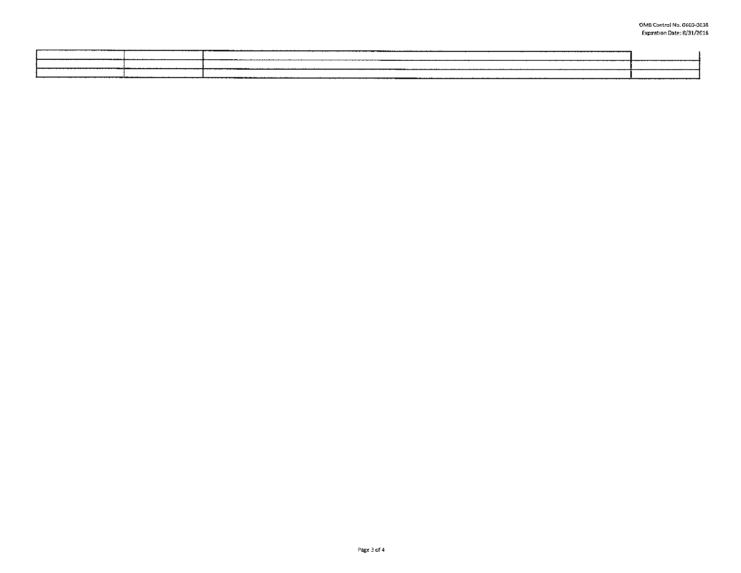## 0MB Control No. 0660·0038 Expiration Date: 8/31/2016

| _____                          |  |
|--------------------------------|--|
|                                |  |
|                                |  |
| -----<br>$- \cdots - \cdots -$ |  |
|                                |  |
| .                              |  |
|                                |  |
| -----<br>.<br>-------------    |  |